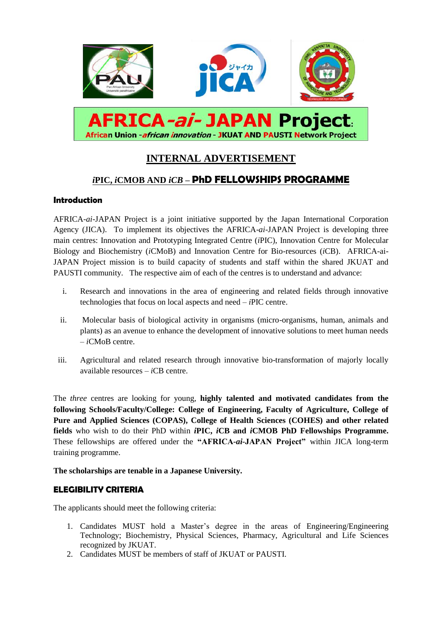

# **INTERNAL ADVERTISEMENT**

# *i***PIC,** *i***CMOB AND** *iCB* **– PhD FELLOWSHIPS PROGRAMME**

## **Introduction**

AFRICA-*ai*-JAPAN Project is a joint initiative supported by the Japan International Corporation Agency (JICA). To implement its objectives the AFRICA-*ai*-JAPAN Project is developing three main centres: Innovation and Prototyping Integrated Centre (*i*PIC), Innovation Centre for Molecular Biology and Biochemistry (*i*CMoB) and Innovation Centre for Bio-resources (*i*CB). AFRICA-ai-JAPAN Project mission is to build capacity of students and staff within the shared JKUAT and PAUSTI community. The respective aim of each of the centres is to understand and advance:

- i. Research and innovations in the area of engineering and related fields through innovative technologies that focus on local aspects and need – *i*PIC centre.
- ii. Molecular basis of biological activity in organisms (micro-organisms, human, animals and plants) as an avenue to enhance the development of innovative solutions to meet human needs – *i*CMoB centre.
- iii. Agricultural and related research through innovative bio-transformation of majorly locally available resources – *i*CB centre.

The *three* centres are looking for young, **highly talented and motivated candidates from the following Schools/Faculty/College: College of Engineering, Faculty of Agriculture, College of Pure and Applied Sciences (COPAS), College of Health Sciences (COHES) and other related fields** who wish to do their PhD within *i***PIC,** *i***CB and** *i***CMOB PhD Fellowships Programme.**  These fellowships are offered under the **"AFRICA***-ai-***JAPAN Project"** within JICA long-term training programme.

#### **The scholarships are tenable in a Japanese University.**

#### **ELEGIBILITY CRITERIA**

The applicants should meet the following criteria:

- 1. Candidates MUST hold a Master's degree in the areas of Engineering/Engineering Technology; Biochemistry, Physical Sciences, Pharmacy, Agricultural and Life Sciences recognized by JKUAT.
- 2. Candidates MUST be members of staff of JKUAT or PAUSTI.